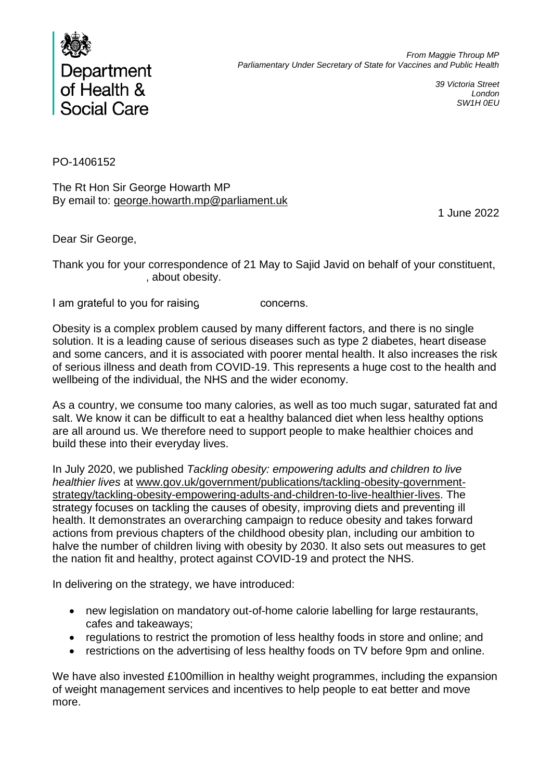

*39 Victoria Street London SW1H 0EU*

PO-1406152

The Rt Hon Sir George Howarth MP By email to: george.howarth.mp@parliament.uk

1 June 2022

Dear Sir George,

Thank you for your correspondence of 21 May to Sajid Javid on behalf of your constituent, , about obesity.

I am grateful to you for raising metal or concerns.

Obesity is a complex problem caused by many different factors, and there is no single solution. It is a leading cause of serious diseases such as type 2 diabetes, heart disease and some cancers, and it is associated with poorer mental health. It also increases the risk of serious illness and death from COVID-19. This represents a huge cost to the health and wellbeing of the individual, the NHS and the wider economy.

As a country, we consume too many calories, as well as too much sugar, saturated fat and salt. We know it can be difficult to eat a healthy balanced diet when less healthy options are all around us. We therefore need to support people to make healthier choices and build these into their everyday lives.

In July 2020, we published *Tackling obesity: empowering adults and children to live healthier lives* at www.gov.uk/government/publications/tackling-obesity-governmentstrategy/tackling-obesity-empowering-adults-and-children-to-live-healthier-lives. The strategy focuses on tackling the causes of obesity, improving diets and preventing ill health. It demonstrates an overarching campaign to reduce obesity and takes forward actions from previous chapters of the childhood obesity plan, including our ambition to halve the number of children living with obesity by 2030. It also sets out measures to get the nation fit and healthy, protect against COVID-19 and protect the NHS.

In delivering on the strategy, we have introduced:

- new legislation on mandatory out-of-home calorie labelling for large restaurants, cafes and takeaways;
- regulations to restrict the promotion of less healthy foods in store and online; and
- restrictions on the advertising of less healthy foods on TV before 9pm and online.

We have also invested £100million in healthy weight programmes, including the expansion of weight management services and incentives to help people to eat better and move more.